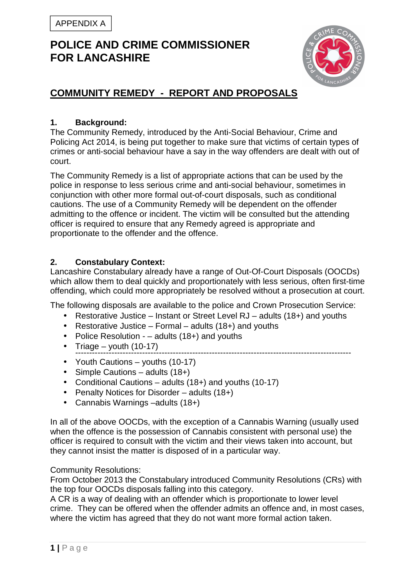

# **COMMUNITY REMEDY - REPORT AND PROPOSALS**

### **1. Background:**

The Community Remedy, introduced by the Anti-Social Behaviour, Crime and Policing Act 2014, is being put together to make sure that victims of certain types of crimes or anti-social behaviour have a say in the way offenders are dealt with out of court.

The Community Remedy is a list of appropriate actions that can be used by the police in response to less serious crime and anti-social behaviour, sometimes in conjunction with other more formal out-of-court disposals, such as conditional cautions. The use of a Community Remedy will be dependent on the offender admitting to the offence or incident. The victim will be consulted but the attending officer is required to ensure that any Remedy agreed is appropriate and proportionate to the offender and the offence.

#### **2. Constabulary Context:**

Lancashire Constabulary already have a range of Out-Of-Court Disposals (OOCDs) which allow them to deal quickly and proportionately with less serious, often first-time offending, which could more appropriately be resolved without a prosecution at court.

The following disposals are available to the police and Crown Prosecution Service:

- Restorative Justice Instant or Street Level RJ adults (18+) and youths
- Restorative Justice Formal adults (18+) and youths
- Police Resolution – adults (18+) and youths
- Triage youth  $(10-17)$ ---------------------------------------------------------------------------------------------------
- Youth Cautions youths (10-17)
- Simple Cautions adults (18+)
- Conditional Cautions adults (18+) and youths (10-17)
- Penalty Notices for Disorder adults (18+)
- Cannabis Warnings –adults (18+)

In all of the above OOCDs, with the exception of a Cannabis Warning (usually used when the offence is the possession of Cannabis consistent with personal use) the officer is required to consult with the victim and their views taken into account, but they cannot insist the matter is disposed of in a particular way.

Community Resolutions:

From October 2013 the Constabulary introduced Community Resolutions (CRs) with the top four OOCDs disposals falling into this category.

A CR is a way of dealing with an offender which is proportionate to lower level crime. They can be offered when the offender admits an offence and, in most cases, where the victim has agreed that they do not want more formal action taken.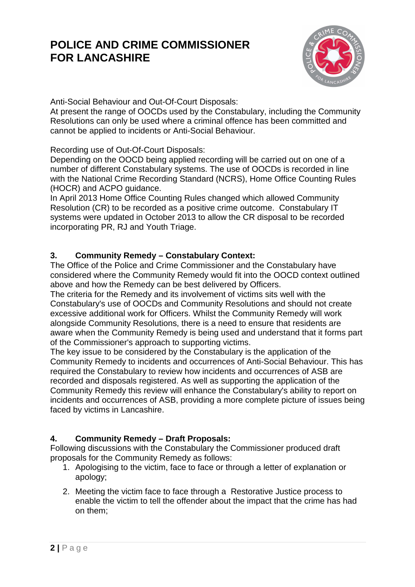

Anti-Social Behaviour and Out-Of-Court Disposals:

At present the range of OOCDs used by the Constabulary, including the Community Resolutions can only be used where a criminal offence has been committed and cannot be applied to incidents or Anti-Social Behaviour.

Recording use of Out-Of-Court Disposals:

Depending on the OOCD being applied recording will be carried out on one of a number of different Constabulary systems. The use of OOCDs is recorded in line with the National Crime Recording Standard (NCRS), Home Office Counting Rules (HOCR) and ACPO guidance.

In April 2013 Home Office Counting Rules changed which allowed Community Resolution (CR) to be recorded as a positive crime outcome. Constabulary IT systems were updated in October 2013 to allow the CR disposal to be recorded incorporating PR, RJ and Youth Triage.

### **3. Community Remedy – Constabulary Context:**

The Office of the Police and Crime Commissioner and the Constabulary have considered where the Community Remedy would fit into the OOCD context outlined above and how the Remedy can be best delivered by Officers.

The criteria for the Remedy and its involvement of victims sits well with the Constabulary's use of OOCDs and Community Resolutions and should not create excessive additional work for Officers. Whilst the Community Remedy will work alongside Community Resolutions, there is a need to ensure that residents are aware when the Community Remedy is being used and understand that it forms part of the Commissioner's approach to supporting victims.

The key issue to be considered by the Constabulary is the application of the Community Remedy to incidents and occurrences of Anti-Social Behaviour. This has required the Constabulary to review how incidents and occurrences of ASB are recorded and disposals registered. As well as supporting the application of the Community Remedy this review will enhance the Constabulary's ability to report on incidents and occurrences of ASB, providing a more complete picture of issues being faced by victims in Lancashire.

## **4. Community Remedy – Draft Proposals:**

Following discussions with the Constabulary the Commissioner produced draft proposals for the Community Remedy as follows:

- 1. Apologising to the victim, face to face or through a letter of explanation or apology;
- 2. Meeting the victim face to face through a Restorative Justice process to enable the victim to tell the offender about the impact that the crime has had on them;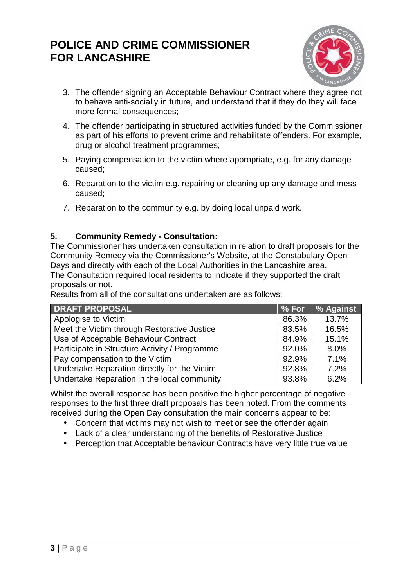

- 3. The offender signing an Acceptable Behaviour Contract where they agree not to behave anti-socially in future, and understand that if they do they will face more formal consequences;
- 4. The offender participating in structured activities funded by the Commissioner as part of his efforts to prevent crime and rehabilitate offenders. For example, drug or alcohol treatment programmes;
- 5. Paying compensation to the victim where appropriate, e.g. for any damage caused;
- 6. Reparation to the victim e.g. repairing or cleaning up any damage and mess caused;
- 7. Reparation to the community e.g. by doing local unpaid work.

### **5. Community Remedy - Consultation:**

The Commissioner has undertaken consultation in relation to draft proposals for the Community Remedy via the Commissioner's Website, at the Constabulary Open Days and directly with each of the Local Authorities in the Lancashire area. The Consultation required local residents to indicate if they supported the draft proposals or not.

Results from all of the consultations undertaken are as follows:

| <b>DRAFT PROPOSAL</b>                         | % For | % Against |
|-----------------------------------------------|-------|-----------|
| Apologise to Victim                           | 86.3% | 13.7%     |
| Meet the Victim through Restorative Justice   | 83.5% | 16.5%     |
| Use of Acceptable Behaviour Contract          | 84.9% | 15.1%     |
| Participate in Structure Activity / Programme | 92.0% | 8.0%      |
| Pay compensation to the Victim                | 92.9% | 7.1%      |
| Undertake Reparation directly for the Victim  | 92.8% | 7.2%      |
| Undertake Reparation in the local community   | 93.8% | 6.2%      |

Whilst the overall response has been positive the higher percentage of negative responses to the first three draft proposals has been noted. From the comments received during the Open Day consultation the main concerns appear to be:

- Concern that victims may not wish to meet or see the offender again
- Lack of a clear understanding of the benefits of Restorative Justice
- Perception that Acceptable behaviour Contracts have very little true value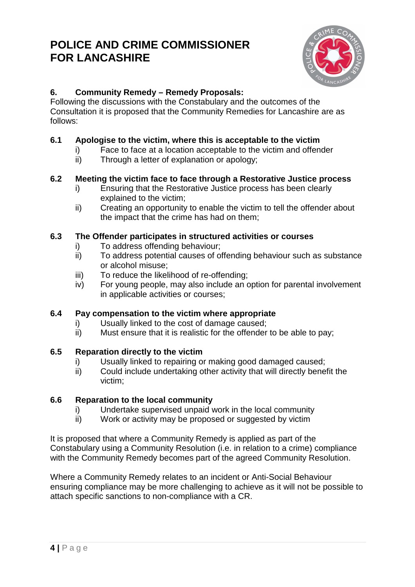

# **6. Community Remedy – Remedy Proposals:**

Following the discussions with the Constabulary and the outcomes of the Consultation it is proposed that the Community Remedies for Lancashire are as follows:

### **6.1 Apologise to the victim, where this is acceptable to the victim**

- i) Face to face at a location acceptable to the victim and offender
- ii) Through a letter of explanation or apology;

### **6.2 Meeting the victim face to face through a Restorative Justice process**

- i) Ensuring that the Restorative Justice process has been clearly explained to the victim;
- ii) Creating an opportunity to enable the victim to tell the offender about the impact that the crime has had on them;

### **6.3 The Offender participates in structured activities or courses**

- i) To address offending behaviour;
- ii) To address potential causes of offending behaviour such as substance or alcohol misuse;
- iii) To reduce the likelihood of re-offending;
- iv) For young people, may also include an option for parental involvement in applicable activities or courses;

## **6.4 Pay compensation to the victim where appropriate**

- i) Usually linked to the cost of damage caused;
- ii) Must ensure that it is realistic for the offender to be able to pay;

## **6.5 Reparation directly to the victim**

- i) Usually linked to repairing or making good damaged caused;
- ii) Could include undertaking other activity that will directly benefit the victim;

#### **6.6 Reparation to the local community**

- i) Undertake supervised unpaid work in the local community
- ii) Work or activity may be proposed or suggested by victim

It is proposed that where a Community Remedy is applied as part of the Constabulary using a Community Resolution (i.e. in relation to a crime) compliance with the Community Remedy becomes part of the agreed Community Resolution.

Where a Community Remedy relates to an incident or Anti-Social Behaviour ensuring compliance may be more challenging to achieve as it will not be possible to attach specific sanctions to non-compliance with a CR.